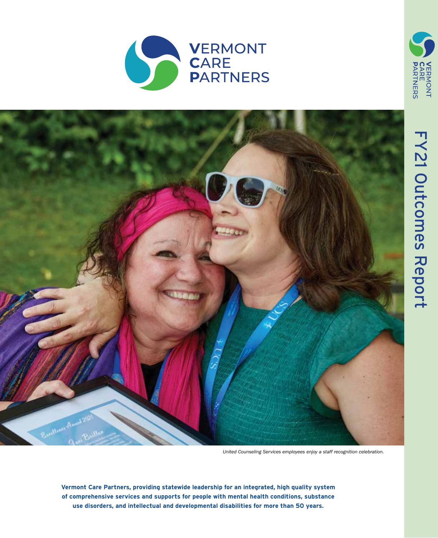



*United Counseling Services employees enjoy a staff recognition celebration.*

**Vermont Care Partners, providing statewide leadership for an integrated, high quality system of comprehensive services and supports for people with mental health conditions, substance use disorders, and intellectual and developmental disabilities for more than 50 years.**

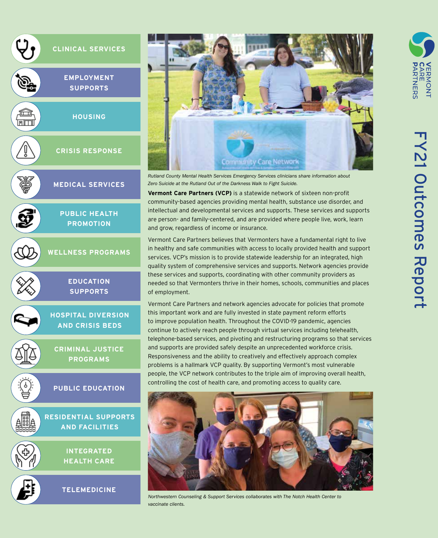



**NNONT** 

スロカ

*Rutland County Mental Health Services Emergency Services clinicians share information about Zero Suicide at the Rutland Out of the Darkness Walk to Fight Suicide.* 

**Vermont Care Partners (VCP)** is a statewide network of sixteen non-profit community-based agencies providing mental health, substance use disorder, and intellectual and developmental services and supports. These services and supports are person- and family-centered, and are provided where people live, work, learn and grow, regardless of income or insurance.

Vermont Care Partners believes that Vermonters have a fundamental right to live in healthy and safe communities with access to locally provided health and support services. VCP's mission is to provide statewide leadership for an integrated, high quality system of comprehensive services and supports. Network agencies provide these services and supports, coordinating with other community providers as needed so that Vermonters thrive in their homes, schools, communities and places of employment.

Vermont Care Partners and network agencies advocate for policies that promote this important work and are fully invested in state payment reform efforts to improve population health. Throughout the COVID-19 pandemic, agencies continue to actively reach people through virtual services including telehealth, telephone-based services, and pivoting and restructuring programs so that services and supports are provided safely despite an unprecedented workforce crisis. Responsiveness and the ability to creatively and effectively approach complex problems is a hallmark VCP quality. By supporting Vermont's most vulnerable people, the VCP network contributes to the triple aim of improving overall health, controlling the cost of health care, and promoting access to quality care.



*Northwestern Counseling & Support Services collaborates with The Notch Health Center to vaccinate clients.*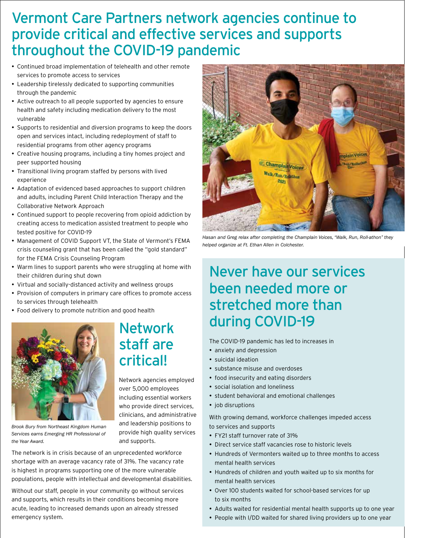## Vermont Care Partners network agencies continue to provide critical and effective services and supports throughout the COVID-19 pandemic

- • Continued broad implementation of telehealth and other remote services to promote access to services
- Leadership tirelessly dedicated to supporting communities through the pandemic
- Active outreach to all people supported by agencies to ensure health and safety including medication delivery to the most vulnerable
- Supports to residential and diversion programs to keep the doors open and services intact, including redeployment of staff to residential programs from other agency programs
- Creative housing programs, including a tiny homes project and peer supported housing
- Transitional living program staffed by persons with lived experience
- Adaptation of evidenced based approaches to support children and adults, including Parent Child Interaction Therapy and the Collaborative Network Approach
- Continued support to people recovering from opioid addiction by creating access to medication assisted treatment to people who tested positive for COVID-19
- Management of COVID Support VT, the State of Vermont's FEMA crisis counseling grant that has been called the "gold standard" for the FEMA Crisis Counseling Program
- Warm lines to support parents who were struggling at home with their children during shut down
- • Virtual and socially-distanced activity and wellness groups
- Provision of computers in primary care offices to promote access to services through telehealth
- Food delivery to promote nutrition and good health



*Brook Bury from Northeast Kingdom Human Services earns Emerging HR Professional of the Year Award.*

## Network staff are critical!

Network agencies employed over 5,000 employees including essential workers who provide direct services, clinicians, and administrative and leadership positions to provide high quality services and supports.

The network is in crisis because of an unprecedented workforce shortage with an average vacancy rate of 31%. The vacancy rate is highest in programs supporting one of the more vulnerable populations, people with intellectual and developmental disabilities.

Without our staff, people in your community go without services and supports, which results in their conditions becoming more acute, leading to increased demands upon an already stressed emergency system.



*Hasan and Greg relax after completing the Champlain Voices, "Walk, Run, Roll-athon" they helped organize at Ft. Ethan Allen in Colchester.* 

## Never have our services been needed more or stretched more than during COVID-19

The COVID-19 pandemic has led to increases in

- anxiety and depression
- • suicidal ideation
- substance misuse and overdoses
- food insecurity and eating disorders
- • social isolation and loneliness
- student behavioral and emotional challenges
- job disruptions

With growing demand, workforce challenges impeded access to services and supports

- • FY21 staff turnover rate of 31%
- • Direct service staff vacancies rose to historic levels
- Hundreds of Vermonters waited up to three months to access mental health services
- Hundreds of children and youth waited up to six months for mental health services
- Over 100 students waited for school-based services for up to six months
- Adults waited for residential mental health supports up to one year
- People with I/DD waited for shared living providers up to one year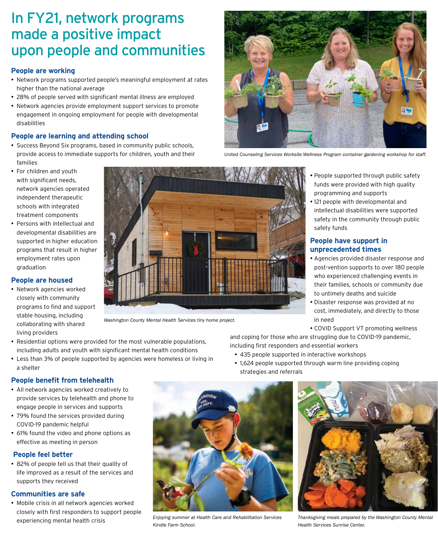## In FY21, network programs made a positive impact upon people and communities

### **People are working**

- Network programs supported people's meaningful employment at rates higher than the national average
- 28% of people served with significant mental illness are employed
- Network agencies provide employment support services to promote engagement in ongoing employment for people with developmental disabilities

### **People are learning and attending school**

- Success Beyond Six programs, based in community public schools, provide access to immediate supports for children, youth and their families
- For children and youth with significant needs, network agencies operated independent therapeutic schools with integrated treatment components
- • Persons with intellectual and developmental disabilities are supported in higher education programs that result in higher employment rates upon graduation

### **People are housed**

• Network agencies worked closely with community programs to find and support stable housing, including collaborating with shared living providers



*Washington County Mental Health Services tiny home project.*

- Residential options were provided for the most vulnerable populations, including adults and youth with significant mental health conditions
- Less than 3% of people supported by agencies were homeless or living in a shelter

# People supported through public safety programming and supports • 121 people with developmental and safety funds **People have support in**

- • Agencies provided disaster response and post-vention supports to over 180 people who experienced challenging events in their families, schools or community due to untimely deaths and suicide
- Disaster response was provided at no cost, immediately, and directly to those in need
- • COVID Support VT promoting wellness

and coping for those who are struggling due to COVID-19 pandemic, including first responders and essential workers

- 435 people supported in interactive workshops
- 1,624 people supported through warm line providing coping strategies and referrals



- • All network agencies worked creatively to provide services by telehealth and phone to engage people in services and supports
- 79% found the services provided during COVID-19 pandemic helpful
- 61% found the video and phone options as effective as meeting in person

## **People feel better**

• 82% of people tell us that their quality of life improved as a result of the services and supports they received

## **Communities are safe**

• Mobile crisis in all network agencies worked closely with first responders to support people experiencing mental health crisis



*Enjoying summer at Health Care and Rehabilitation Services Kindle Farm School.*



*Thanksgiving meals prepared by the Washington County Mental Health Services Sunrise Center.*



*United Counseling Services Worksite Wellness Program container gardening workshop for staff.*

- funds were provided with high quality
	- intellectual disabilities were supported safety in the community through public

# **unprecedented times**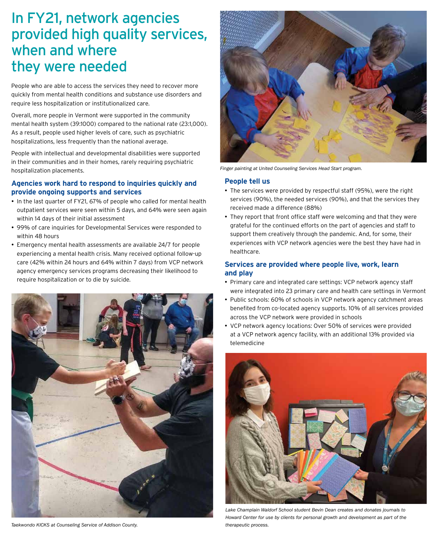## In FY21, network agencies provided high quality services, when and where they were needed

People who are able to access the services they need to recover more quickly from mental health conditions and substance use disorders and require less hospitalization or institutionalized care.

Overall, more people in Vermont were supported in the community mental health system (39:1000) compared to the national rate (23:1,000). As a result, people used higher levels of care, such as psychiatric hospitalizations, less frequently than the national average.

People with intellectual and developmental disabilities were supported in their communities and in their homes, rarely requiring psychiatric hospitalization placements.

### **Agencies work hard to respond to inquiries quickly and provide ongoing supports and services**

- In the last quarter of FY21, 67% of people who called for mental health outpatient services were seen within 5 days, and 64% were seen again within 14 days of their initial assessment
- 99% of care inquiries for Developmental Services were responded to within 48 hours
- Emergency mental health assessments are available 24/7 for people experiencing a mental health crisis. Many received optional follow-up care (42% within 24 hours and 64% within 7 days) from VCP network agency emergency services programs decreasing their likelihood to require hospitalization or to die by suicide.



*Taekwondo KICKS at Counseling Service of Addison County.*



*Finger painting at United Counseling Services Head Start program.*

#### **People tell us**

- The services were provided by respectful staff (95%), were the right services (90%), the needed services (90%), and that the services they received made a difference (88%)
- They report that front office staff were welcoming and that they were grateful for the continued efforts on the part of agencies and staff to support them creatively through the pandemic. And, for some, their experiences with VCP network agencies were the best they have had in healthcare.

### **Services are provided where people live, work, learn and play**

- Primary care and integrated care settings: VCP network agency staff were integrated into 23 primary care and health care settings in Vermont
- Public schools: 60% of schools in VCP network agency catchment areas benefited from co-located agency supports. 10% of all services provided across the VCP network were provided in schools
- VCP network agency locations: Over 50% of services were provided at a VCP network agency facility, with an additional 13% provided via telemedicine



*Lake Champlain Waldorf School student Bevin Dean creates and donates journals to Howard Center for use by clients for personal growth and development as part of the therapeutic process.*